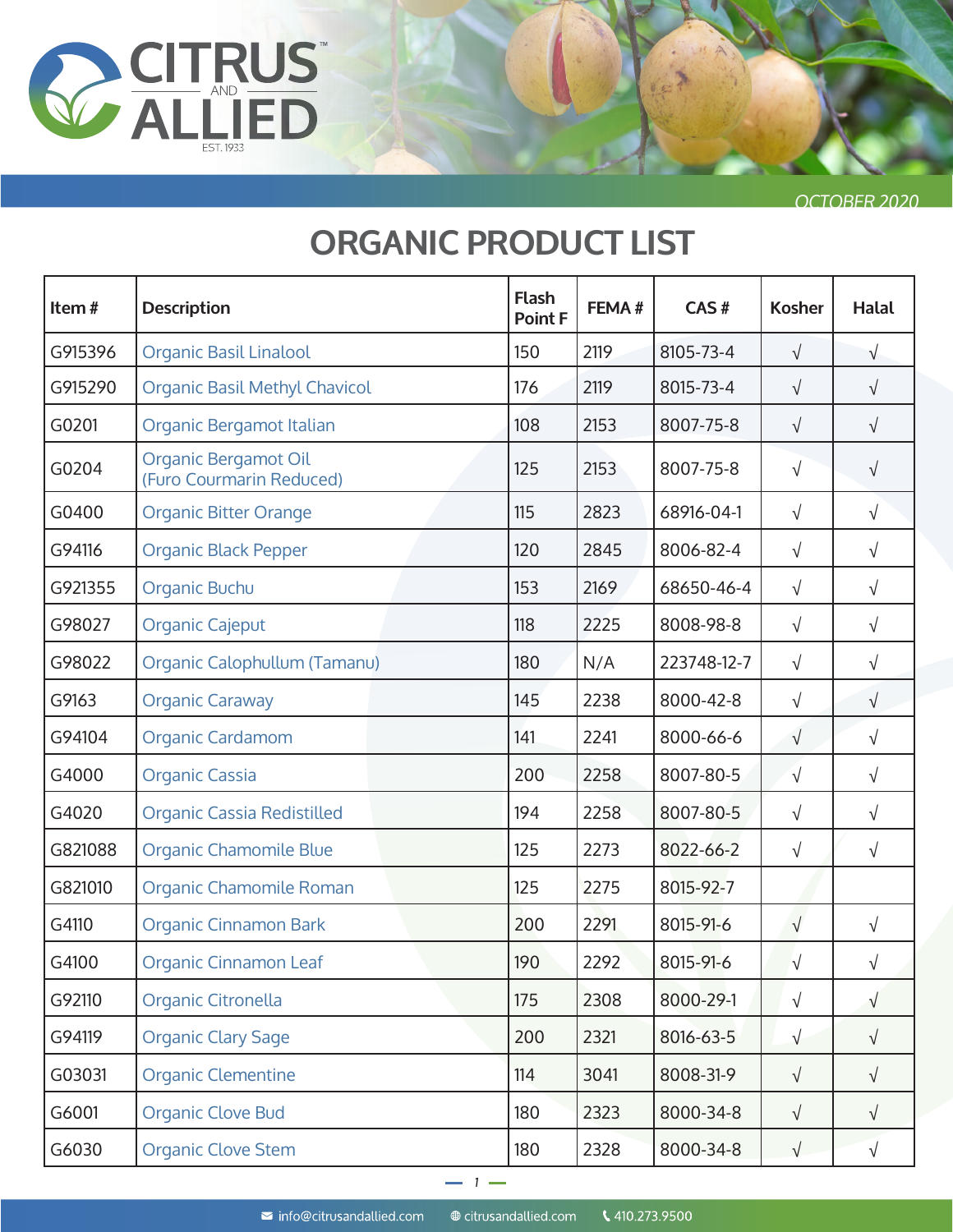

# **ORGANIC PRODUCT LIST**

| Item#   | <b>Description</b>                               | <b>Flash</b><br>Point F | FEMA# | CAS#        | <b>Kosher</b> | <b>Halal</b> |
|---------|--------------------------------------------------|-------------------------|-------|-------------|---------------|--------------|
| G915396 | <b>Organic Basil Linalool</b>                    | 150                     | 2119  | 8105-73-4   | $\sqrt{}$     | $\sqrt{}$    |
| G915290 | <b>Organic Basil Methyl Chavicol</b>             | 176                     | 2119  | 8015-73-4   | $\sqrt{}$     | $\sqrt{ }$   |
| G0201   | Organic Bergamot Italian                         | 108                     | 2153  | 8007-75-8   | $\sqrt{}$     | $\sqrt{}$    |
| G0204   | Organic Bergamot Oil<br>(Furo Courmarin Reduced) | 125                     | 2153  | 8007-75-8   | $\sqrt{}$     | $\sqrt{}$    |
| G0400   | <b>Organic Bitter Orange</b>                     | 115                     | 2823  | 68916-04-1  | $\sqrt{}$     | $\sqrt{}$    |
| G94116  | <b>Organic Black Pepper</b>                      | 120                     | 2845  | 8006-82-4   | $\sqrt{}$     | $\sqrt{}$    |
| G921355 | Organic Buchu                                    | 153                     | 2169  | 68650-46-4  | $\sqrt{}$     | $\sqrt{}$    |
| G98027  | <b>Organic Cajeput</b>                           | 118                     | 2225  | 8008-98-8   | $\sqrt{}$     | $\sqrt{}$    |
| G98022  | Organic Calophullum (Tamanu)                     | 180                     | N/A   | 223748-12-7 | $\sqrt{}$     | $\sqrt{}$    |
| G9163   | <b>Organic Caraway</b>                           | 145                     | 2238  | 8000-42-8   | $\sqrt{}$     | $\sqrt{}$    |
| G94104  | Organic Cardamom                                 | 141                     | 2241  | 8000-66-6   | $\sqrt{}$     | $\sqrt{}$    |
| G4000   | <b>Organic Cassia</b>                            | 200                     | 2258  | 8007-80-5   | $\sqrt{}$     | $\sqrt{}$    |
| G4020   | Organic Cassia Redistilled                       | 194                     | 2258  | 8007-80-5   | $\sqrt{}$     | $\sqrt{}$    |
| G821088 | Organic Chamomile Blue                           | 125                     | 2273  | 8022-66-2   | $\sqrt{}$     | $\sqrt{}$    |
| G821010 | Organic Chamomile Roman                          | 125                     | 2275  | 8015-92-7   |               |              |
| G4110   | <b>Organic Cinnamon Bark</b>                     | 200                     | 2291  | 8015-91-6   | $\sqrt{}$     | $\sqrt{}$    |
| G4100   | <b>Organic Cinnamon Leaf</b>                     | 190                     | 2292  | 8015-91-6   | $\sqrt{}$     | √            |
| G92110  | Organic Citronella                               | 175                     | 2308  | 8000-29-1   | $\sqrt{ }$    | $\sqrt{}$    |
| G94119  | <b>Organic Clary Sage</b>                        | 200                     | 2321  | 8016-63-5   | $\sqrt{}$     | $\sqrt{}$    |
| G03031  | <b>Organic Clementine</b>                        | 114                     | 3041  | 8008-31-9   | $\sqrt{ }$    | $\sqrt{ }$   |
| G6001   | <b>Organic Clove Bud</b>                         | 180                     | 2323  | 8000-34-8   | $\sqrt{}$     | $\sqrt{}$    |
| G6030   | <b>Organic Clove Stem</b>                        | 180                     | 2328  | 8000-34-8   | $\sqrt{ }$    | $\sqrt{}$    |

1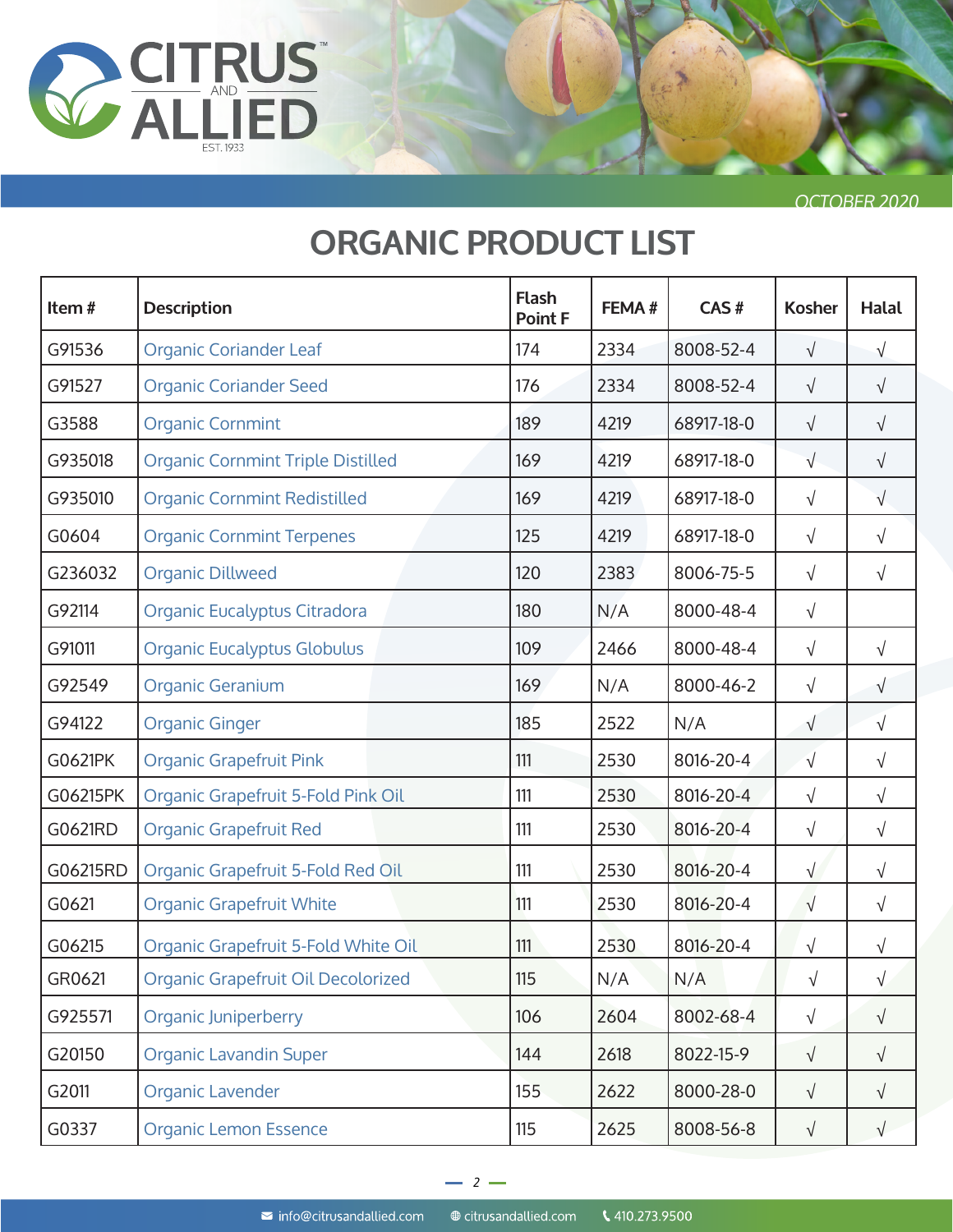

| Item#    | <b>Description</b>                       | <b>Flash</b><br><b>Point F</b> | FEMA# | CAS#       | <b>Kosher</b> | <b>Halal</b> |
|----------|------------------------------------------|--------------------------------|-------|------------|---------------|--------------|
| G91536   | <b>Organic Coriander Leaf</b>            | 174                            | 2334  | 8008-52-4  | $\sqrt{}$     | $\sqrt{ }$   |
| G91527   | <b>Organic Coriander Seed</b>            | 176                            | 2334  | 8008-52-4  | $\sqrt{}$     | $\sqrt{ }$   |
| G3588    | <b>Organic Cornmint</b>                  | 189                            | 4219  | 68917-18-0 | $\sqrt{}$     | $\sqrt{ }$   |
| G935018  | <b>Organic Cornmint Triple Distilled</b> | 169                            | 4219  | 68917-18-0 | $\sqrt{ }$    | $\sqrt{ }$   |
| G935010  | <b>Organic Cornmint Redistilled</b>      | 169                            | 4219  | 68917-18-0 | $\sqrt{ }$    | $\sqrt{}$    |
| G0604    | <b>Organic Cornmint Terpenes</b>         | 125                            | 4219  | 68917-18-0 | $\sqrt{ }$    | $\sqrt{ }$   |
| G236032  | <b>Organic Dillweed</b>                  | 120                            | 2383  | 8006-75-5  | $\sqrt{ }$    | $\sqrt{ }$   |
| G92114   | Organic Eucalyptus Citradora             | 180                            | N/A   | 8000-48-4  | $\sqrt{}$     |              |
| G91011   | <b>Organic Eucalyptus Globulus</b>       | 109                            | 2466  | 8000-48-4  | $\sqrt{ }$    | $\sqrt{ }$   |
| G92549   | <b>Organic Geranium</b>                  | 169                            | N/A   | 8000-46-2  | $\sqrt{}$     | $\sqrt{}$    |
| G94122   | <b>Organic Ginger</b>                    | 185                            | 2522  | N/A        | $\sqrt{}$     | $\sqrt{ }$   |
| G0621PK  | <b>Organic Grapefruit Pink</b>           | 111                            | 2530  | 8016-20-4  | $\sqrt{}$     | $\sqrt{}$    |
| G06215PK | Organic Grapefruit 5-Fold Pink Oil       | 111                            | 2530  | 8016-20-4  | $\sqrt{}$     | $\sqrt{}$    |
| G0621RD  | <b>Organic Grapefruit Red</b>            | 111                            | 2530  | 8016-20-4  | $\sqrt{}$     | $\sqrt{}$    |
| G06215RD | Organic Grapefruit 5-Fold Red Oil        | 111                            | 2530  | 8016-20-4  | $\sqrt{}$     | $\sqrt{}$    |
| G0621    | <b>Organic Grapefruit White</b>          | 111                            | 2530  | 8016-20-4  | $\sqrt{ }$    | $\sqrt{}$    |
| G06215   | Organic Grapefruit 5-Fold White Oil      | 111                            | 2530  | 8016-20-4  | $\sqrt{}$     | $\sqrt{}$    |
| GR0621   | Organic Grapefruit Oil Decolorized       | 115                            | N/A   | N/A        | $\sqrt{ }$    | $\sqrt{}$    |
| G925571  | <b>Organic Juniperberry</b>              | 106                            | 2604  | 8002-68-4  | $\sqrt{}$     | $\sqrt{ }$   |
| G20150   | <b>Organic Lavandin Super</b>            | 144                            | 2618  | 8022-15-9  | $\sqrt{}$     | $\sqrt{ }$   |
| G2011    | Organic Lavender                         | 155                            | 2622  | 8000-28-0  | $\sqrt{}$     | $\sqrt{ }$   |
| G0337    | <b>Organic Lemon Essence</b>             | 115                            | 2625  | 8008-56-8  | $\sqrt{}$     | $\sqrt{ }$   |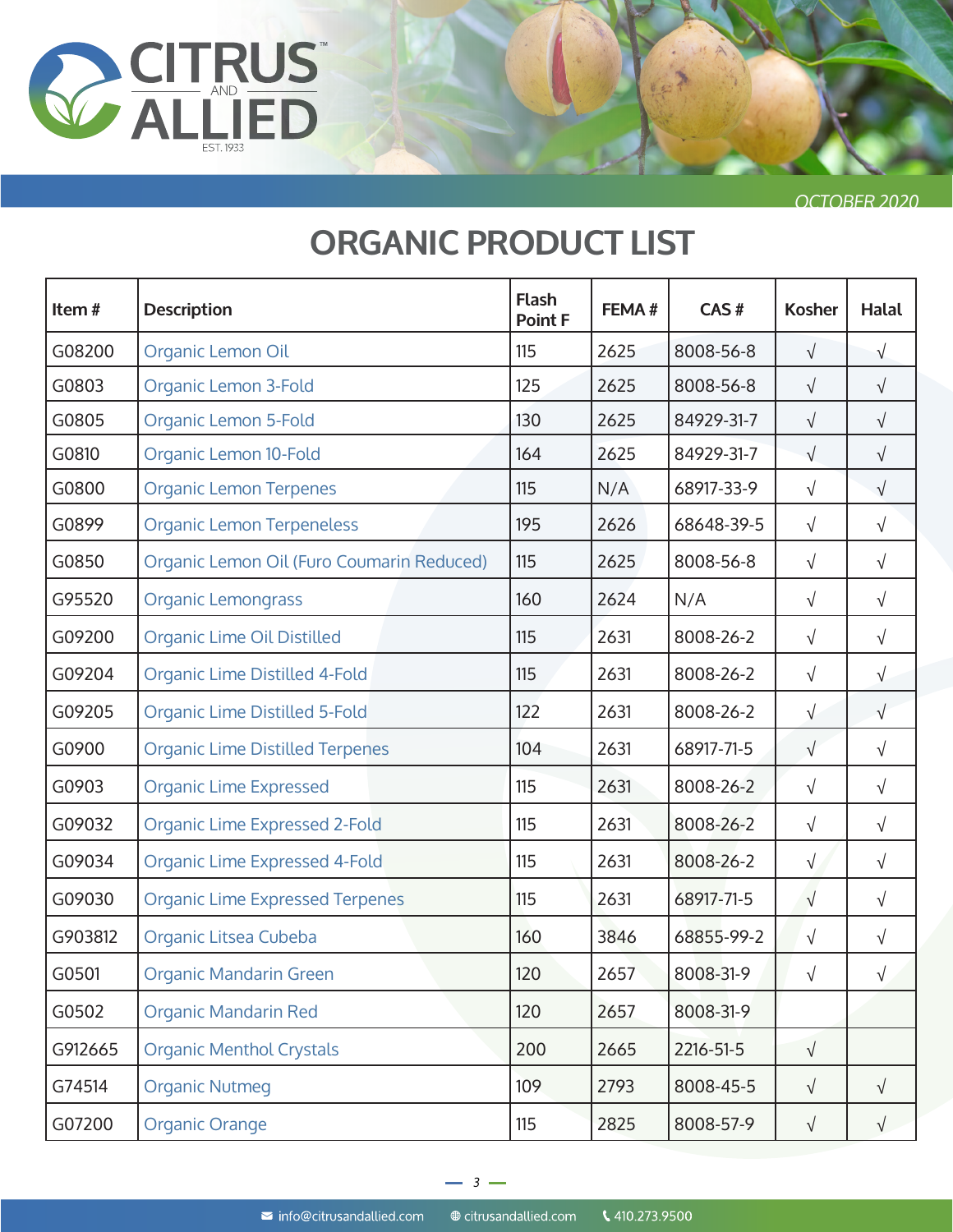

| Item#   | <b>Description</b>                        | <b>Flash</b><br><b>Point F</b> | FEMA# | CAS#       | <b>Kosher</b> | <b>Halal</b> |
|---------|-------------------------------------------|--------------------------------|-------|------------|---------------|--------------|
| G08200  | Organic Lemon Oil                         | 115                            | 2625  | 8008-56-8  | $\sqrt{}$     | $\sqrt{}$    |
| G0803   | Organic Lemon 3-Fold                      | 125                            | 2625  | 8008-56-8  | $\sqrt{}$     | $\sqrt{}$    |
| G0805   | <b>Organic Lemon 5-Fold</b>               | 130                            | 2625  | 84929-31-7 | $\sqrt{ }$    | $\sqrt{ }$   |
| G0810   | Organic Lemon 10-Fold                     | 164                            | 2625  | 84929-31-7 | $\sqrt{ }$    | $\sqrt{ }$   |
| G0800   | <b>Organic Lemon Terpenes</b>             | 115                            | N/A   | 68917-33-9 | $\sqrt{}$     | $\sqrt{}$    |
| G0899   | <b>Organic Lemon Terpeneless</b>          | 195                            | 2626  | 68648-39-5 | $\sqrt{ }$    | $\sqrt{ }$   |
| G0850   | Organic Lemon Oil (Furo Coumarin Reduced) | 115                            | 2625  | 8008-56-8  | $\sqrt{}$     | $\sqrt{ }$   |
| G95520  | <b>Organic Lemongrass</b>                 | 160                            | 2624  | N/A        | $\sqrt{}$     | $\sqrt{ }$   |
| G09200  | <b>Organic Lime Oil Distilled</b>         | 115                            | 2631  | 8008-26-2  | $\sqrt{}$     | $\sqrt{}$    |
| G09204  | Organic Lime Distilled 4-Fold             | 115                            | 2631  | 8008-26-2  | $\sqrt{}$     | $\sqrt{}$    |
| G09205  | Organic Lime Distilled 5-Fold             | 122                            | 2631  | 8008-26-2  | $\sqrt{}$     | $\sqrt{ }$   |
| G0900   | <b>Organic Lime Distilled Terpenes</b>    | 104                            | 2631  | 68917-71-5 | $\sqrt{ }$    | $\sqrt{ }$   |
| G0903   | <b>Organic Lime Expressed</b>             | 115                            | 2631  | 8008-26-2  | $\sqrt{}$     | $\sqrt{ }$   |
| G09032  | <b>Organic Lime Expressed 2-Fold</b>      | 115                            | 2631  | 8008-26-2  | $\sqrt{}$     | $\sqrt{ }$   |
| G09034  | Organic Lime Expressed 4-Fold             | 115                            | 2631  | 8008-26-2  | $\sqrt{}$     | $\sqrt{ }$   |
| G09030  | <b>Organic Lime Expressed Terpenes</b>    | 115                            | 2631  | 68917-71-5 | $\sqrt{}$     | $\sqrt{ }$   |
| G903812 | Organic Litsea Cubeba                     | 160                            | 3846  | 68855-99-2 | $\sqrt{}$     | $\sqrt{ }$   |
| G0501   | <b>Organic Mandarin Green</b>             | 120                            | 2657  | 8008-31-9  | $\sqrt{}$     |              |
| G0502   | <b>Organic Mandarin Red</b>               | 120                            | 2657  | 8008-31-9  |               |              |
| G912665 | <b>Organic Menthol Crystals</b>           | 200                            | 2665  | 2216-51-5  | $\sqrt{}$     |              |
| G74514  | <b>Organic Nutmeg</b>                     | 109                            | 2793  | 8008-45-5  | $\sqrt{}$     | $\sqrt{}$    |
| G07200  | <b>Organic Orange</b>                     | 115                            | 2825  | 8008-57-9  | $\sqrt{}$     | $\sqrt{ }$   |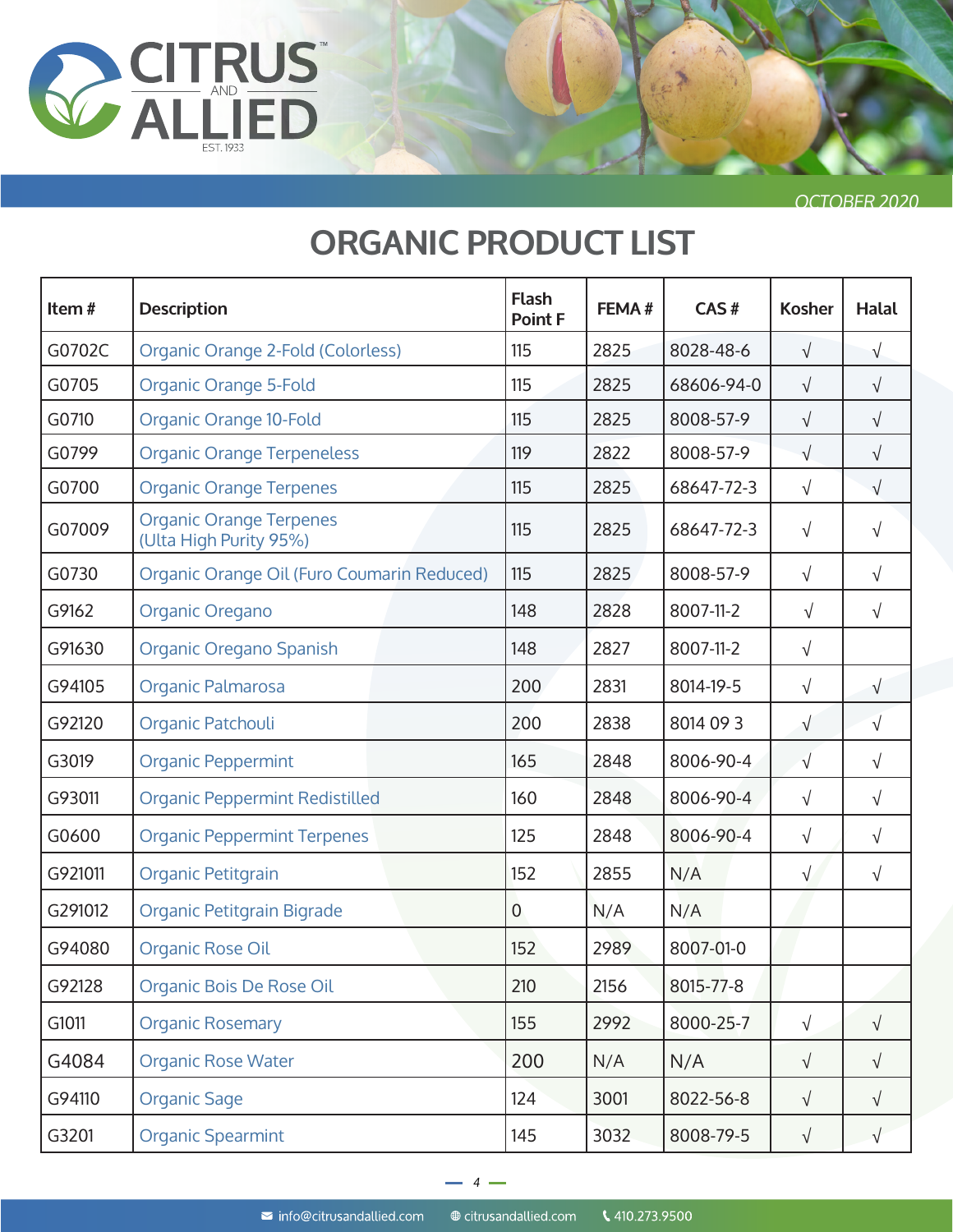

| Item#   | <b>Description</b>                                       | <b>Flash</b><br><b>Point F</b> | FEMA# | CAS#       | <b>Kosher</b> | <b>Halal</b> |
|---------|----------------------------------------------------------|--------------------------------|-------|------------|---------------|--------------|
| G0702C  | Organic Orange 2-Fold (Colorless)                        | 115                            | 2825  | 8028-48-6  | $\sqrt{}$     | $\sqrt{}$    |
| G0705   | <b>Organic Orange 5-Fold</b>                             | 115                            | 2825  | 68606-94-0 | $\sqrt{}$     | $\sqrt{}$    |
| G0710   | Organic Orange 10-Fold                                   | 115                            | 2825  | 8008-57-9  | $\sqrt{ }$    | $\sqrt{}$    |
| G0799   | <b>Organic Orange Terpeneless</b>                        | 119                            | 2822  | 8008-57-9  | $\sqrt{}$     | $\sqrt{}$    |
| G0700   | <b>Organic Orange Terpenes</b>                           | 115                            | 2825  | 68647-72-3 | $\sqrt{}$     | $\sqrt{}$    |
| G07009  | <b>Organic Orange Terpenes</b><br>(Ulta High Purity 95%) | 115                            | 2825  | 68647-72-3 | $\sqrt{}$     | $\sqrt{}$    |
| G0730   | Organic Orange Oil (Furo Coumarin Reduced)               | 115                            | 2825  | 8008-57-9  | $\sqrt{}$     | $\sqrt{}$    |
| G9162   | Organic Oregano                                          | 148                            | 2828  | 8007-11-2  | $\sqrt{}$     | $\sqrt{}$    |
| G91630  | Organic Oregano Spanish                                  | 148                            | 2827  | 8007-11-2  | $\sqrt{}$     |              |
| G94105  | Organic Palmarosa                                        | 200                            | 2831  | 8014-19-5  | $\sqrt{}$     | $\sqrt{}$    |
| G92120  | Organic Patchouli                                        | 200                            | 2838  | 8014 09 3  | $\sqrt{}$     | $\sqrt{}$    |
| G3019   | <b>Organic Peppermint</b>                                | 165                            | 2848  | 8006-90-4  | $\sqrt{}$     | $\sqrt{}$    |
| G93011  | <b>Organic Peppermint Redistilled</b>                    | 160                            | 2848  | 8006-90-4  | $\sqrt{}$     | $\sqrt{}$    |
| G0600   | <b>Organic Peppermint Terpenes</b>                       | 125                            | 2848  | 8006-90-4  | $\sqrt{}$     | $\sqrt{}$    |
| G921011 | Organic Petitgrain                                       | 152                            | 2855  | N/A        | $\sqrt{}$     | $\sqrt{}$    |
| G291012 | Organic Petitgrain Bigrade                               | $\mathbf 0$                    | N/A   | N/A        |               |              |
| G94080  | Organic Rose Oil                                         | 152                            | 2989  | 8007-01-0  |               |              |
| G92128  | Organic Bois De Rose Oil                                 | 210                            | 2156  | 8015-77-8  |               |              |
| G1011   | <b>Organic Rosemary</b>                                  | 155                            | 2992  | 8000-25-7  | $\sqrt{}$     | $\sqrt{}$    |
| G4084   | <b>Organic Rose Water</b>                                | 200                            | N/A   | N/A        | $\sqrt{}$     | $\sqrt{}$    |
| G94110  | <b>Organic Sage</b>                                      | 124                            | 3001  | 8022-56-8  | $\sqrt{}$     | $\sqrt{}$    |
| G3201   | <b>Organic Spearmint</b>                                 | 145                            | 3032  | 8008-79-5  | $\sqrt{}$     | $\sqrt{}$    |